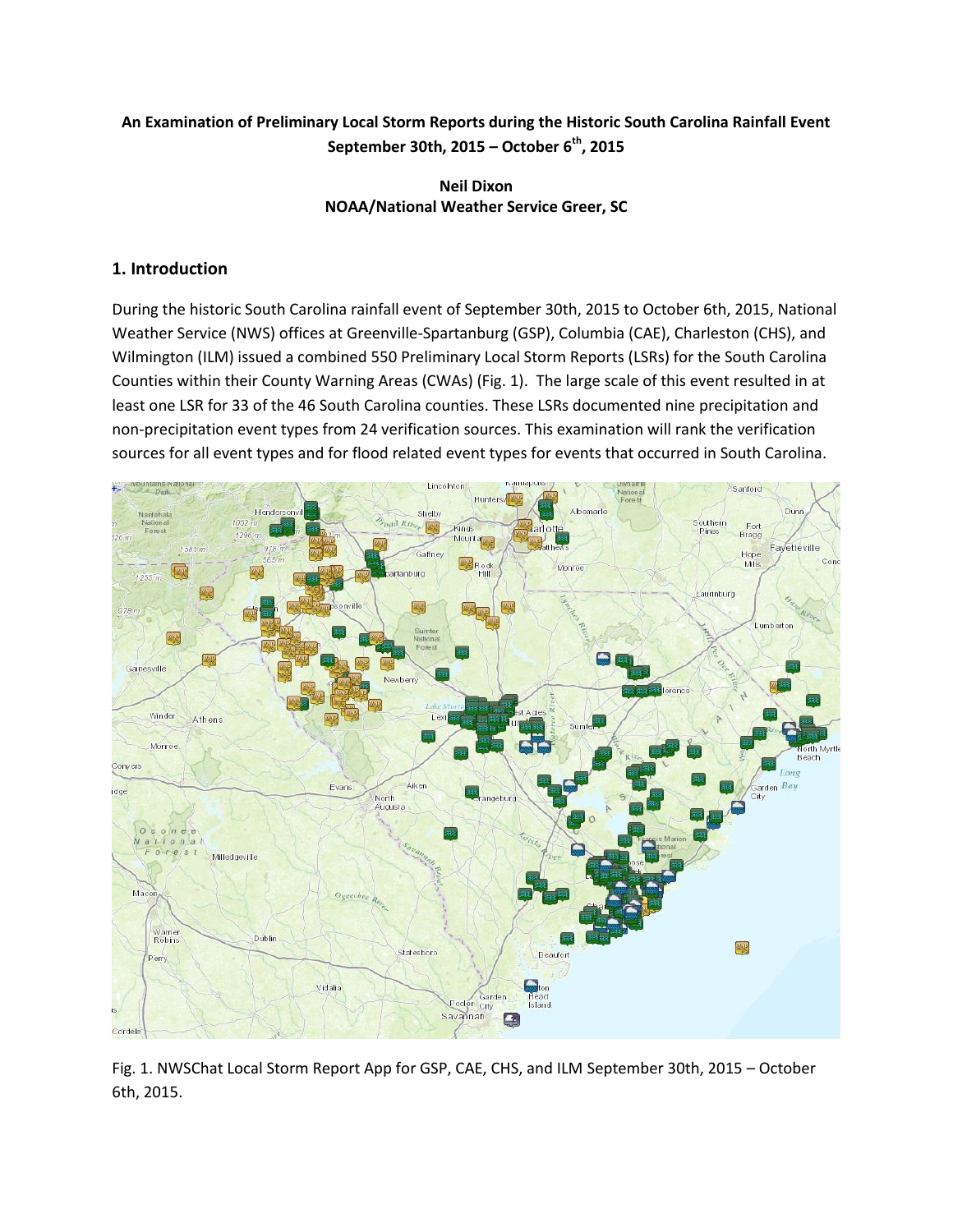# **An Examination of Preliminary Local Storm Reports during the Historic South Carolina Rainfall Event September 30th, 2015 – October 6th, 2015**

**Neil Dixon NOAA/National Weather Service Greer, SC**

# **1. Introduction**

During the historic South Carolina rainfall event of September 30th, 2015 to October 6th, 2015, National Weather Service (NWS) offices at Greenville-Spartanburg (GSP), Columbia (CAE), Charleston (CHS), and Wilmington (ILM) issued a combined 550 Preliminary Local Storm Reports (LSRs) for the South Carolina Counties within their County Warning Areas (CWAs) (Fig. 1). The large scale of this event resulted in at least one LSR for 33 of the 46 South Carolina counties. These LSRs documented nine precipitation and non-precipitation event types from 24 verification sources. This examination will rank the verification sources for all event types and for flood related event types for events that occurred in South Carolina.



Fig. 1. NWSChat Local Storm Report App for GSP, CAE, CHS, and ILM September 30th, 2015 – October 6th, 2015.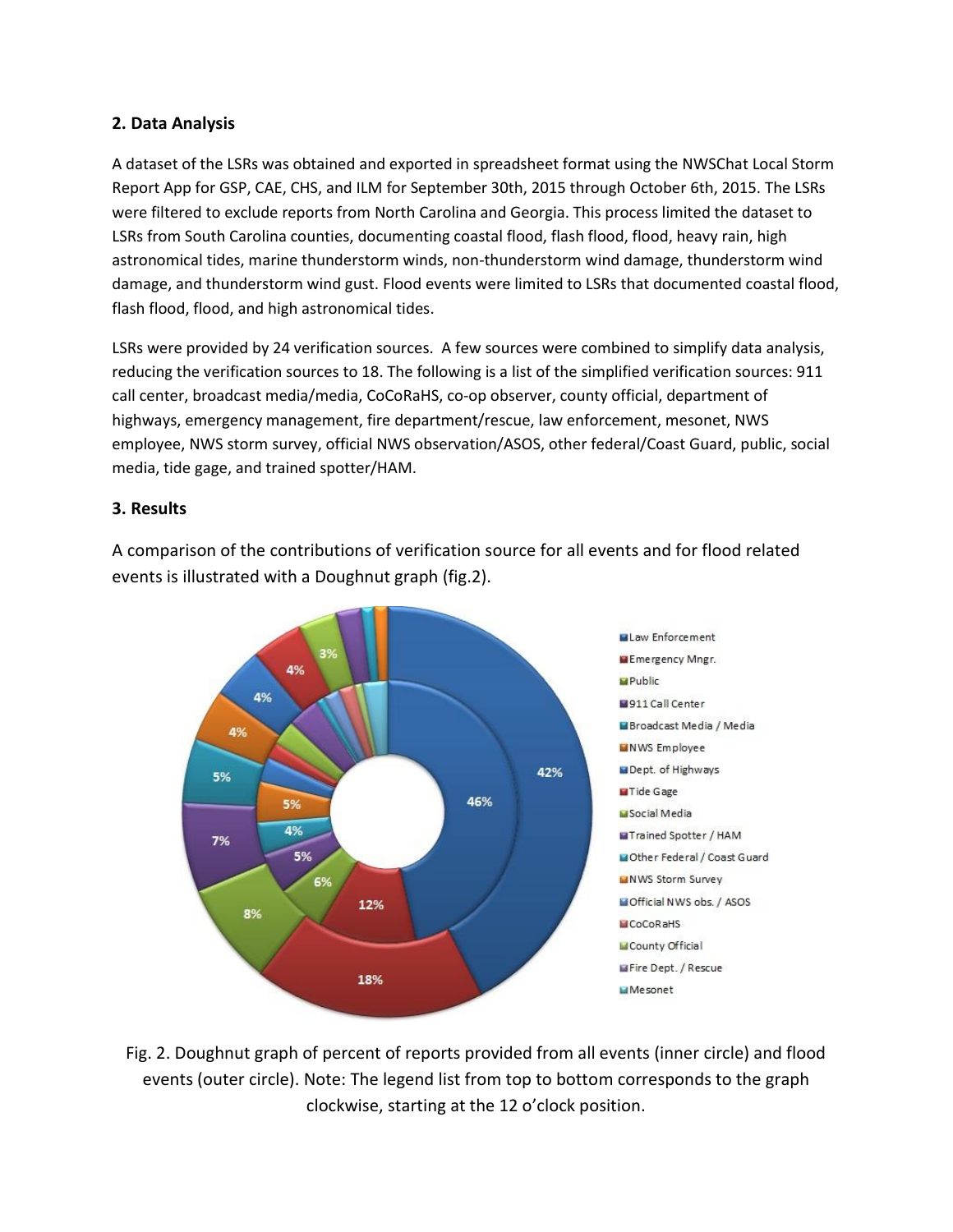### **2. Data Analysis**

A dataset of the LSRs was obtained and exported in spreadsheet format using the NWSChat Local Storm Report App for GSP, CAE, CHS, and ILM for September 30th, 2015 through October 6th, 2015. The LSRs were filtered to exclude reports from North Carolina and Georgia. This process limited the dataset to LSRs from South Carolina counties, documenting coastal flood, flash flood, flood, heavy rain, high astronomical tides, marine thunderstorm winds, non-thunderstorm wind damage, thunderstorm wind damage, and thunderstorm wind gust. Flood events were limited to LSRs that documented coastal flood, flash flood, flood, and high astronomical tides.

LSRs were provided by 24 verification sources. A few sources were combined to simplify data analysis, reducing the verification sources to 18. The following is a list of the simplified verification sources: 911 call center, broadcast media/media, CoCoRaHS, co-op observer, county official, department of highways, emergency management, fire department/rescue, law enforcement, mesonet, NWS employee, NWS storm survey, official NWS observation/ASOS, other federal/Coast Guard, public, social media, tide gage, and trained spotter/HAM.

## **3. Results**

A comparison of the contributions of verification source for all events and for flood related events is illustrated with a Doughnut graph (fig.2).



Fig. 2. Doughnut graph of percent of reports provided from all events (inner circle) and flood events (outer circle). Note: The legend list from top to bottom corresponds to the graph clockwise, starting at the 12 o'clock position.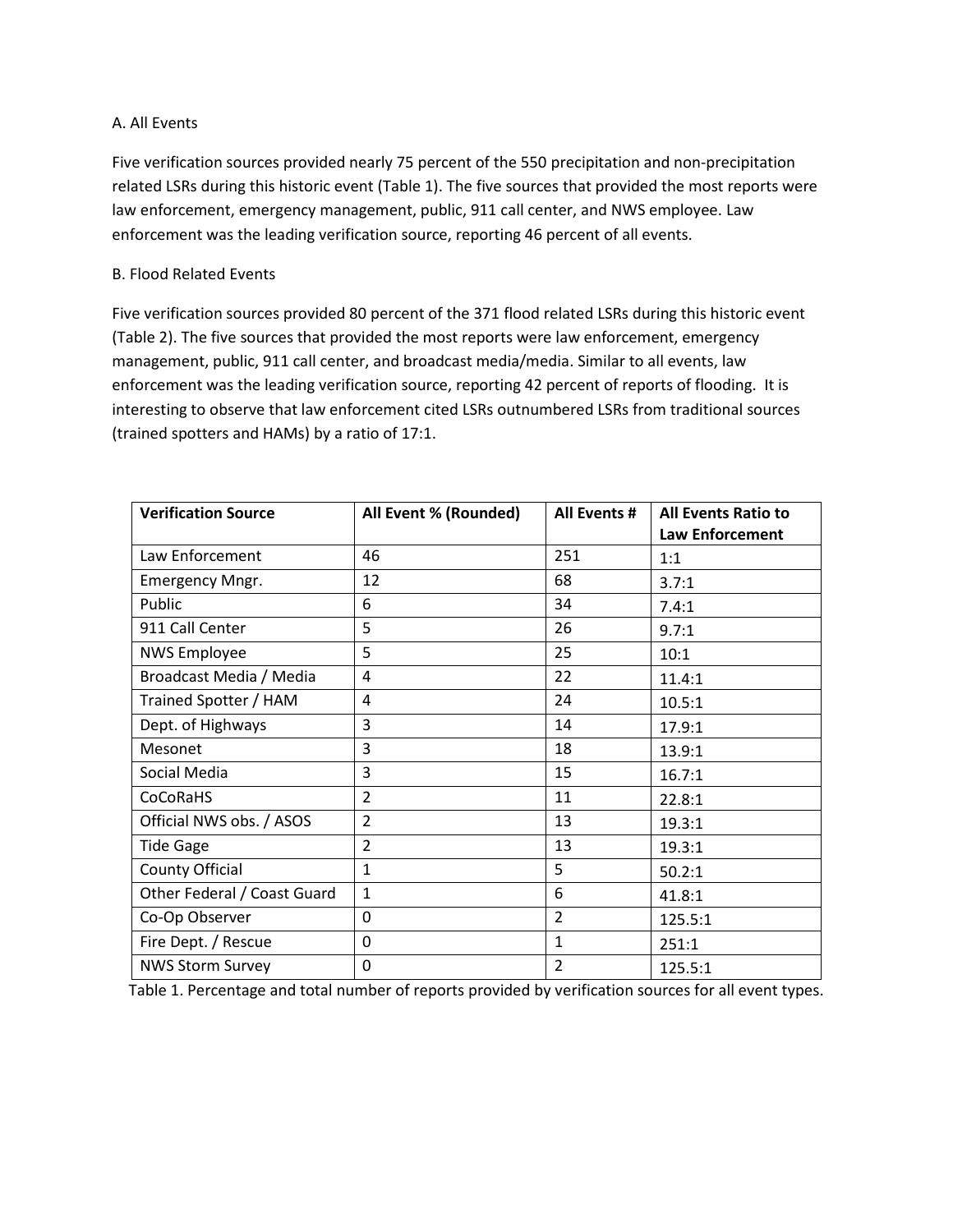#### A. All Events

Five verification sources provided nearly 75 percent of the 550 precipitation and non-precipitation related LSRs during this historic event (Table 1). The five sources that provided the most reports were law enforcement, emergency management, public, 911 call center, and NWS employee. Law enforcement was the leading verification source, reporting 46 percent of all events.

#### B. Flood Related Events

Five verification sources provided 80 percent of the 371 flood related LSRs during this historic event (Table 2). The five sources that provided the most reports were law enforcement, emergency management, public, 911 call center, and broadcast media/media. Similar to all events, law enforcement was the leading verification source, reporting 42 percent of reports of flooding. It is interesting to observe that law enforcement cited LSRs outnumbered LSRs from traditional sources (trained spotters and HAMs) by a ratio of 17:1.

| <b>Verification Source</b>  | All Event % (Rounded) | All Events #   | <b>All Events Ratio to</b><br><b>Law Enforcement</b> |
|-----------------------------|-----------------------|----------------|------------------------------------------------------|
| Law Enforcement             | 46                    | 251            | 1:1                                                  |
| Emergency Mngr.             | 12                    | 68             | 3.7:1                                                |
| Public                      | 6                     | 34             | 7.4:1                                                |
| 911 Call Center             | 5                     | 26             | 9.7:1                                                |
| <b>NWS Employee</b>         | 5                     | 25             | 10:1                                                 |
| Broadcast Media / Media     | 4                     | 22             | 11.4:1                                               |
| Trained Spotter / HAM       | 4                     | 24             | 10.5:1                                               |
| Dept. of Highways           | 3                     | 14             | 17.9:1                                               |
| Mesonet                     | 3                     | 18             | 13.9:1                                               |
| Social Media                | 3                     | 15             | 16.7:1                                               |
| CoCoRaHS                    | $\overline{2}$        | 11             | 22.8:1                                               |
| Official NWS obs. / ASOS    | $\overline{2}$        | 13             | 19.3:1                                               |
| <b>Tide Gage</b>            | $\overline{2}$        | 13             | 19.3:1                                               |
| County Official             | $\mathbf{1}$          | 5              | 50.2:1                                               |
| Other Federal / Coast Guard | $\mathbf{1}$          | 6              | 41.8:1                                               |
| Co-Op Observer              | $\Omega$              | $\overline{2}$ | 125.5:1                                              |
| Fire Dept. / Rescue         | $\mathbf{0}$          | $\mathbf{1}$   | 251:1                                                |
| <b>NWS Storm Survey</b>     | 0                     | $\overline{2}$ | 125.5:1                                              |

Table 1. Percentage and total number of reports provided by verification sources for all event types.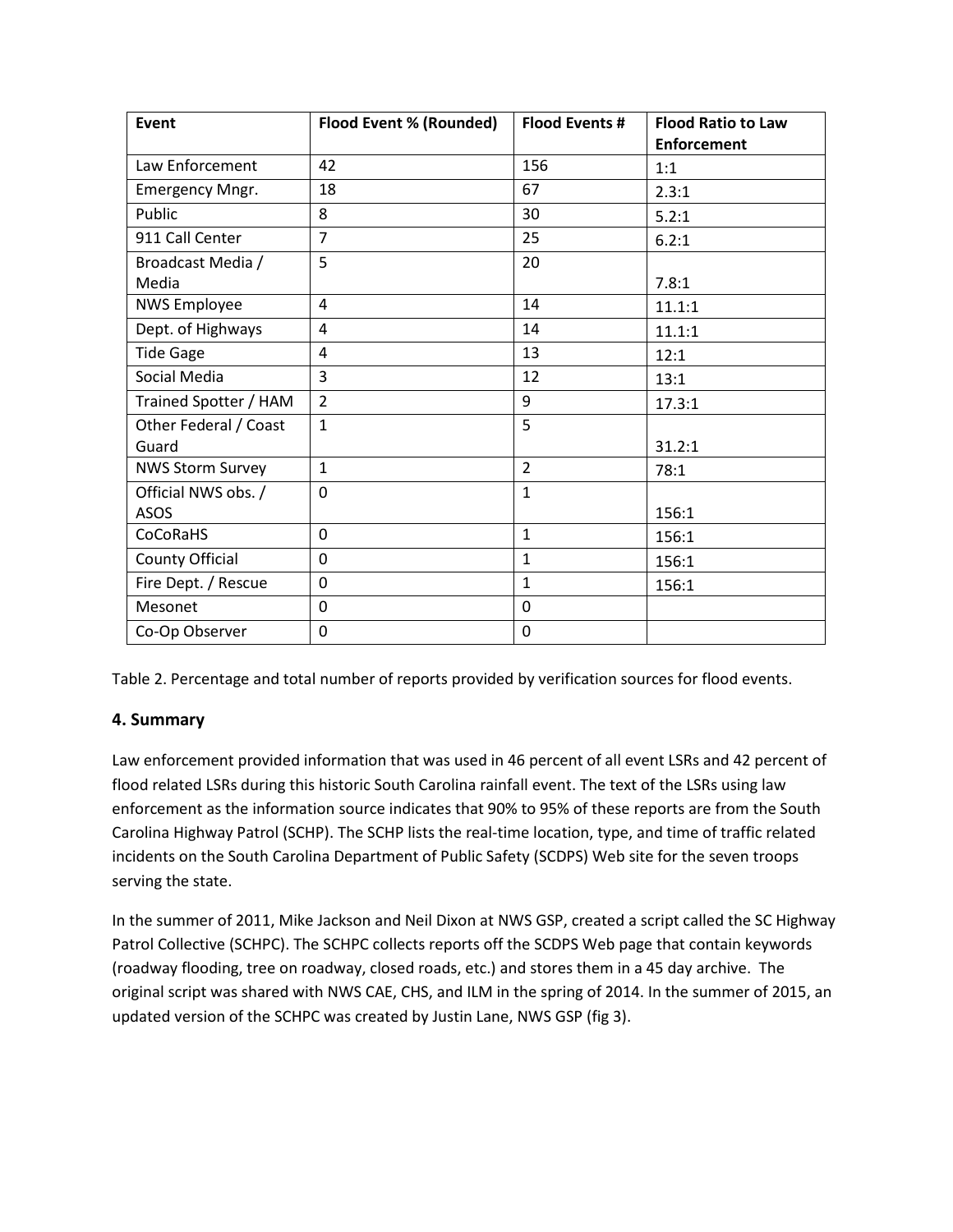| <b>Event</b>            | <b>Flood Event % (Rounded)</b> | <b>Flood Events #</b> | <b>Flood Ratio to Law</b> |
|-------------------------|--------------------------------|-----------------------|---------------------------|
|                         |                                |                       | <b>Enforcement</b>        |
| Law Enforcement         | 42                             | 156                   | 1:1                       |
| <b>Emergency Mngr.</b>  | 18                             | 67                    | 2.3:1                     |
| Public                  | 8                              | 30                    | 5.2:1                     |
| 911 Call Center         | $\overline{7}$                 | 25                    | 6.2:1                     |
| Broadcast Media /       | 5                              | 20                    |                           |
| Media                   |                                |                       | 7.8:1                     |
| <b>NWS Employee</b>     | 4                              | 14                    | 11.1:1                    |
| Dept. of Highways       | 4                              | 14                    | 11.1:1                    |
| <b>Tide Gage</b>        | 4                              | 13                    | 12:1                      |
| Social Media            | 3                              | 12                    | 13:1                      |
| Trained Spotter / HAM   | $\overline{2}$                 | 9                     | 17.3:1                    |
| Other Federal / Coast   | $\mathbf{1}$                   | 5                     |                           |
| Guard                   |                                |                       | 31.2:1                    |
| <b>NWS Storm Survey</b> | $\mathbf{1}$                   | $\overline{2}$        | 78:1                      |
| Official NWS obs. /     | 0                              | $\mathbf{1}$          |                           |
| <b>ASOS</b>             |                                |                       | 156:1                     |
| CoCoRaHS                | $\overline{0}$                 | $\mathbf{1}$          | 156:1                     |
| County Official         | 0                              | $\mathbf{1}$          | 156:1                     |
| Fire Dept. / Rescue     | 0                              | $\mathbf{1}$          | 156:1                     |
| Mesonet                 | 0                              | $\mathbf 0$           |                           |
| Co-Op Observer          | 0                              | 0                     |                           |

Table 2. Percentage and total number of reports provided by verification sources for flood events.

### **4. Summary**

Law enforcement provided information that was used in 46 percent of all event LSRs and 42 percent of flood related LSRs during this historic South Carolina rainfall event. The text of the LSRs using law enforcement as the information source indicates that 90% to 95% of these reports are from the South Carolina Highway Patrol (SCHP). The SCHP lists the real-time location, type, and time of traffic related incidents on the South Carolina Department of Public Safety (SCDPS) Web site for the seven troops serving the state.

In the summer of 2011, Mike Jackson and Neil Dixon at NWS GSP, created a script called the SC Highway Patrol Collective (SCHPC). The SCHPC collects reports off the SCDPS Web page that contain keywords (roadway flooding, tree on roadway, closed roads, etc.) and stores them in a 45 day archive. The original script was shared with NWS CAE, CHS, and ILM in the spring of 2014. In the summer of 2015, an updated version of the SCHPC was created by Justin Lane, NWS GSP (fig 3).